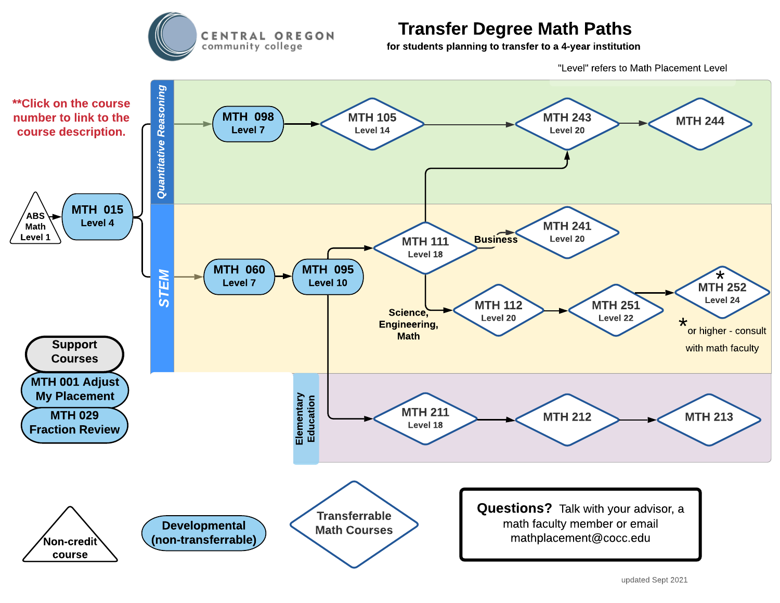

## Transfer Degree Math Paths

for students planning to transfer to a 4-year institution

"Level" refers to Math Placement Level

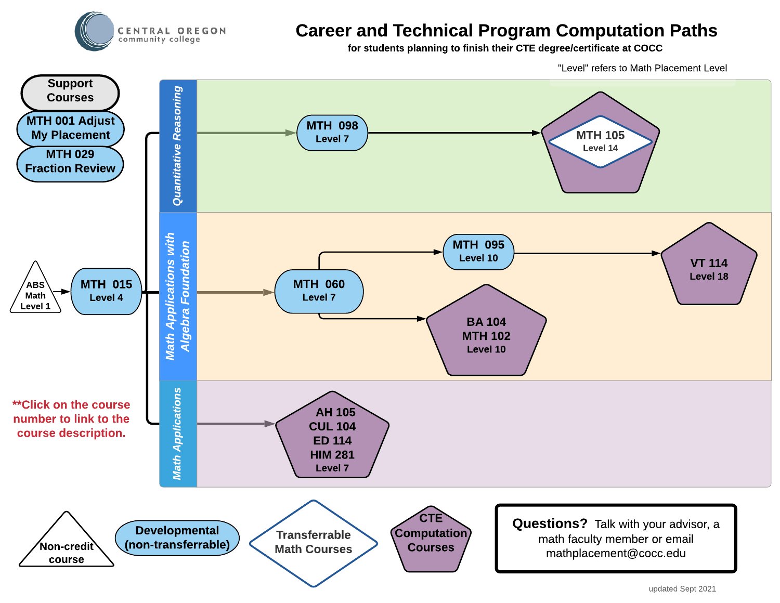

## Career and Technical Program Computation Paths

for students planning to finish their CTE degree/certificate at COCC

"Level" refers to Math Placement Level